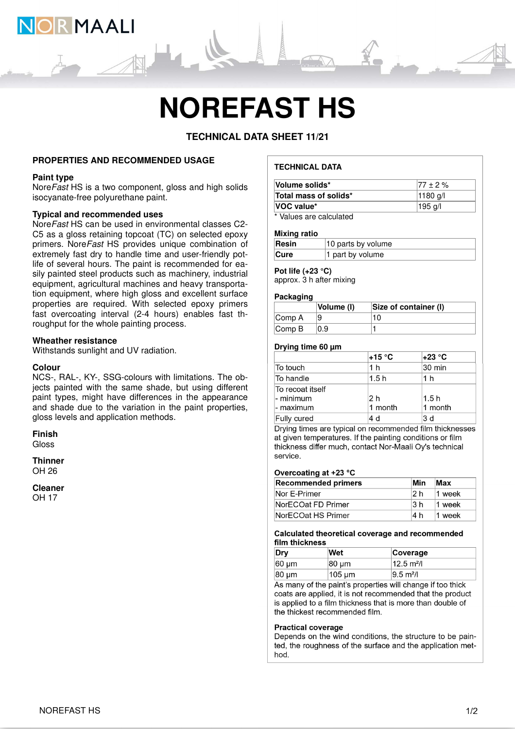

# **NOREFAST HS**

**TECHNICAL DATA SHEET 11/21**

#### **PROPERTIES AND RECOMMENDED USAGE**

#### **Paint type**

Nore Fast HS is a two component, gloss and high solids isocyanate-free polyurethane paint.

#### **Typical and recommended uses**

NoreFast HS can be used in environmental classes C2- C5 as a gloss retaining topcoat (TC) on selected epoxy primers. NoreFast HS provides unique combination of extremely fast dry to handle time and user-friendly potlife of several hours. The paint is recommended for easily painted steel products such as machinery, industrial equipment, agricultural machines and heavy transportation equipment, where high gloss and excellent surface properties are required. With selected epoxy primers fast overcoating interval (2-4 hours) enables fast throughput for the whole painting process.

#### **Wheather resistance**

Withstands sunlight and UV radiation.

#### **Colour**

NCS-, RAL-, KY-, SSG-colours with limitations. The objects painted with the same shade, but using different paint types, might have differences in the appearance and shade due to the variation in the paint properties, gloss levels and application methods.

#### **Finish**

Gloss

**Thinner** OH 26

### **Cleaner**

OH 17

#### **TECHNICAL DATA**

| Volume solids*                | $177 \pm 2 \%$    |
|-------------------------------|-------------------|
| Total mass of solids*         | $ 1180 \text{ q}$ |
| VOC value*                    | 195 g/l           |
| * Malera a and a alardiate di |                   |

Values are calculated

#### **Mixing ratio**

| Resin<br>10 parts by volume |                  |
|-----------------------------|------------------|
| <b>Cure</b>                 | 1 part by volume |

## **Pot life (+23 °C)**

approx. 3 h after mixing

#### **Packaging**

|                             | Volume (I) | Size of container (I) |
|-----------------------------|------------|-----------------------|
| $\mathsf{Comp}\,A$          |            | 10                    |
| $\mathsf{Comp}\,\mathsf{B}$ | 0.9        |                       |

#### **Drying time 60 µm**

|                                               | +15 °C         | +23 °C          |
|-----------------------------------------------|----------------|-----------------|
| To touch                                      | 1 h            | 30 min          |
| To handle                                     | 1.5h           | 1 h             |
| ∣To recoat itself<br>l- minimum<br>l- maximum | 2 h<br>1 month | 1.5h<br>1 month |
| Fully cured                                   | 4 d            | 3 d             |

Drying times are typical on recommended film thicknesses at given temperatures. If the painting conditions or film thickness differ much, contact Nor-Maali Oy's technical service.

#### Overcoating at +23 °C

| <b>Recommended primers</b> | Min  | Max      |
|----------------------------|------|----------|
| Nor E-Primer               | 12 h | $1$ week |
| NorECOat FD Primer         | 13 h | 11 week  |
| NorECOat HS Primer         | l4 h | 1 week   |

#### Calculated theoretical coverage and recommended film thickness

| Drv               | Wet     | <b>Coverage</b>       |
|-------------------|---------|-----------------------|
| $ 60 \text{ µm} $ | 80 µm   | $12.5 \text{ m}^2$ /l |
| $ 80 \mu m$       | !105 µm | $ 9.5 \text{ m}^2 $   |

As many of the paint's properties will change if too thick coats are applied, it is not recommended that the product is applied to a film thickness that is more than double of the thickest recommended film.

#### **Practical coverage**

Depends on the wind conditions, the structure to be painted, the roughness of the surface and the application method.